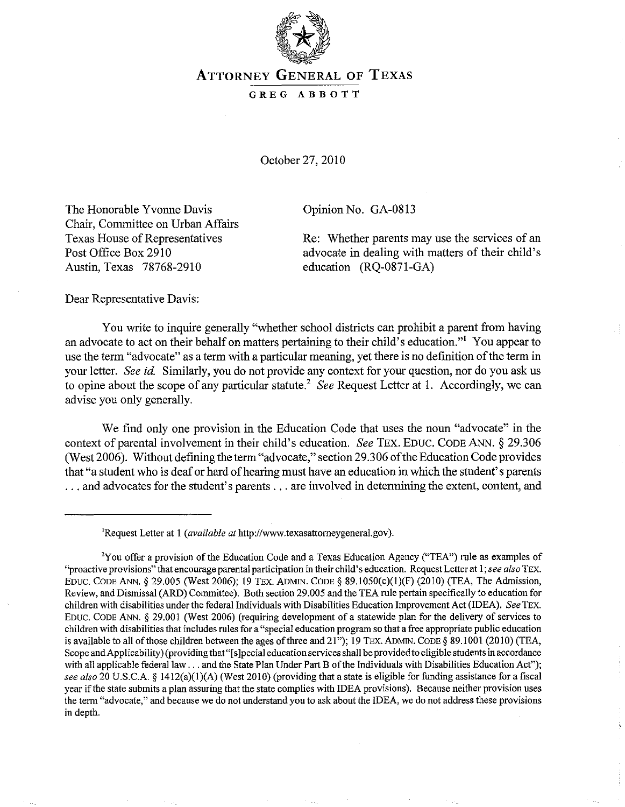

## ATTORNEY GENERAL OF TEXAS

## GREG ABBOTT

October 27,2010

The Honorable Yvonne Davis Chair, Committee on Urban Affairs Texas House of Representatives Post Office Box 2910 Austin, Texas 78768-2910

Opinion No. OA-0813

Re: Whether parents may use the services of an advocate in dealing with matters of their child's education (RQ-0871-GA)

Dear Representative Davis:

You write to inquire generally "whether school districts can prohibit a parent from having an advocate to act on their behalf on matters pertaining to their child's education.'" You appear to use the term "advocate" as a term with a particular meaning, yet there is no definition of the term in your letter. *See id.* Similarly, you do not provide any context for your question, nor do you ask us to opine about the scope of any particular statute? *See* Request Letter at 1. Accordingly, we can advise you only generally.

We find only one provision in the Education Code that uses the noun "advocate" in the context of parental involvement in their child's education. *See* TEX. EDUC. CODE ANN. § 29.306 (West 2006). Without defining the term "advocate," section 29.306 of the Education Code provides that "a student who is deaf or hard of hearing must have an education in which the student's parents ... and advocates for the student's parents ... are involved in determining the extent, content, and

<sup>&#</sup>x27;Request Letter at I *(available at* http://www.texasattomeygeneral.gov).

<sup>&#</sup>x27;You offer a provision of the Education Code and a Texas Education Agency ("TEA") rule as examples of "proactive provisions" that encourage parental participation in their child's education. Request Letter at I; *see also* TEX. EDUC. CODE ANN. § 29.005 (West 2006); 19 TEX. ADMIN. CODE § 89.1050(c)(I)(F) (2010) (TEA, The Admission, Review, and Dismissal (ARD) Committee). Both section 29.005 and the TEA rule pertain specifically to education for children with disabilities under the federal Individuals with Disabilities Education Improvement Act (IDEA). *See* TEX. EDUC. CODE ANN. § 29.001 (West 2006) (requiring development of a statewide plan for the delivery of services to children with disabilities that includes rules for a "special education program so that a free appropriate public education is available to all of those children between the ages of three and 21"); 19 TEX. ADMIN. CODE § 89.1001 (2010) (TEA, Scope and Applicability) (providing that "[s]pecial education services shall be provided to eligible students in accordance with all applicable federal law ... and the State Plan Under Part B of the Individuals with Disabilities Education Act"); *see also* 20 U.S.C.A. § 1412(a)(l)(A) *(West* 2010) (providing that a state is eligible for funding assistance for a fiscal year if the state submits a plan assuring that the state complies with IDEA provisions). Because neither provision uses the term "advocate," and because we do not understand you to ask about the IDEA, we do not address these provisions in depth.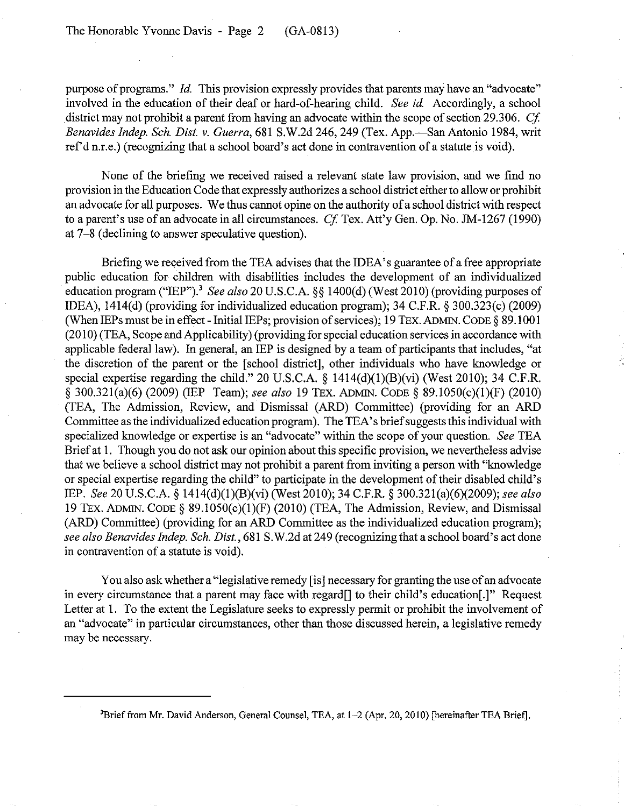purpose of programs." *Id.* This provision expressly provides that parents may have an "advocate" involved in the education of their deaf or hard-of-hearing child. *See id.* Accordingly, a school district may not prohibit a parent from having an advocate within the scope of section 29.306. *Cf Benavides Indep. Sch. Dist.* v. *Guerra,* 681 S.W.2d 246,249 (Tex. App.-SanAntonio 1984, writ ref d n.r.e.) (recognizing that a school board's act done in contravention of a statute is void).

None of the briefing we received raised a relevant state law provision, and we find no provision in the Education Code that expressly authorizes a school district either to allow or prohibit an advocate for all purposes. We thus cannot opine on the authority of a school district with respect to a parent's use of an advocate in all circumstances. *Cf* Tex. Att'y Gen. Op. No. JM-1267 (1990) at 7-8 (declining to answer speculative question).

Briefing we received from the TEA advises that the IDEA's guarantee of a free appropriate public education for children with disabilities includes the development of an individualized education program ("IEP").' *See also* 20 U.S.C.A. §§ 1400(d) (West 2010) (providing purposes of IDEA), 1414(d) (providing for individualized education program); 34 C.F.R. § 300.323(c) (2009) (When IEPs must be in effect - Initial IEPs; provision of services); 19 TEx. ADMIN. CODE § 89.1001 (2010) (TEA, Scope and Applicability) (providing for special education services in accordance with applicable federal law). In general, an IEP is designed by a team of participants that includes, "at the discretion of the parent or the [school district], other individuals who have knowledge or special expertise regarding the child." 20 U.S.C.A. § 1414(d)(1)(B)(vi) (West 2010); 34 C.F.R. § 300.321(a)(6) (2009) (IEP Team); *see also* 19 TEx. ADMIN. CODE § 89.l050(c)(1)(F) (2010) (TEA, The Admission, Review, and Dismissal (ARD) Committee) (providing for an ARD Committee as the individualized education program). The TEA's brief suggests this individual with specialized knowledge or expertise is an "advocate" within the scope of your question. *See* TEA Brief at 1. Though you do not ask our opinion about this specific provision, we nevertheless advise that we believe a school district may not prohibit a parent from inviting a person with "knowledge or special expertise regarding the child" to participate in the development of their disabled child's IEP. *See* 20 U.S.C.A. § 1414(d)(I)(B)(vi) (West 2010); 34 C.F.R. § 300.321(a)(6)(2009); *see also*  19 TEX. ADMIN. CODE § 89.l050(c)(I)(F) (2010) (TEA, The Admission, Review, and Dismissal (ARD) Committee) (providing for an ARD Committee as the individualized education program); *see also Benavides Indep. Sch. Dist.,* 681 S.W.2d at 249 (recognizing that a school board's act done in contravention of a statute is void).

You also ask whether a "legislative remedy [is] necessary for granting the use of an advocate in every circumstance that a parent may face with regard[] to their child's education[.]" Request Letter at 1. To the extent the Legislature seeks to expressly permit or prohibit the involvement of an "advocate" in particular circumstances, other than those discussed herein, a legislative remedy may be necessary.

<sup>&#</sup>x27;Brief from Mr. David Anderson, General Counsel, TEA, at l-2 (Apr. 20, 20l0) [hereinafter TEA Brief].